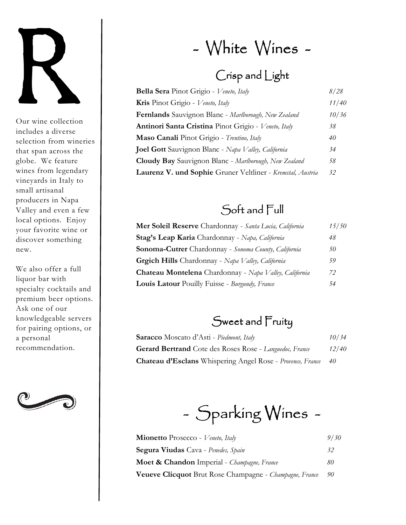

Our wine collection includes a diverse selection from wineries that span across the globe. We feature wines from legendary vineyards in Italy to small artisanal producers in Napa Valley and even a few local options. Enjoy your favorite wine or discover something new.

We also offer a full liquor bar with specialty cocktails and premium beer options. Ask one of our knowledgeable servers for pairing options, or a personal recommendation.



# - White Wines -

### Crisp and Light

| <b>Bella Sera</b> Pinot Grigio - Veneto, Italy              | 8/28  |
|-------------------------------------------------------------|-------|
| Kris Pinot Grigio - Veneto, Italy                           | 11/40 |
| <b>Fernlands</b> Sauvignon Blanc - Marlborough, New Zealand | 10/36 |
| Antinori Santa Cristina Pinot Grigio - Veneto, Italy        | 38    |
| Maso Canali Pinot Grigio - Trentino, Italy                  | 40    |
| <b>Joel Gott</b> Sauvignon Blanc - Napa Valley, California  | 34    |
| Cloudy Bay Sauvignon Blanc - Marlborough, New Zealand       | 58    |
| Laurenz V. und Sophie Gruner Veltliner - Kremstal, Austria  | 32    |

### Soft and Full

| Mer Soleil Reserve Chardonnay - Santa Lucia, California     | 15/50 |
|-------------------------------------------------------------|-------|
| Stag's Leap Karia Chardonnay - Napa, California             | 48    |
| <b>Sonoma-Cutrer</b> Chardonnay - Sonoma County, California | 50    |
| Grgich Hills Chardonnay - Napa Valley, California           | 59    |
| Chateau Montelena Chardonnay - Napa Valley, California      | 72    |
| <b>Louis Latour</b> Pouilly Fuisse - Burgundy, France       | 54    |

#### Sweet and Fruity

| <b>Saracco</b> Moscato d'Asti - Piedmont, Italy                | 10/34 |
|----------------------------------------------------------------|-------|
| <b>Gerard Bertrand</b> Cote des Roses Rose - Languedoc, France | 12/40 |
| Chateau d'Esclans Whispering Angel Rose - Provence, France     | 40    |

 $-$  Sparking Wines  $-$ 

| Mionetto Prosecco - Veneto, Italy                       | 9/30 |
|---------------------------------------------------------|------|
| <b>Segura Viudas</b> Cava - Penedes, Spain              | 32   |
| <b>Moet &amp; Chandon</b> Imperial - Champagne, France  | 80   |
| Veueve Clicquot Brut Rose Champagne - Champagne, France | -90  |